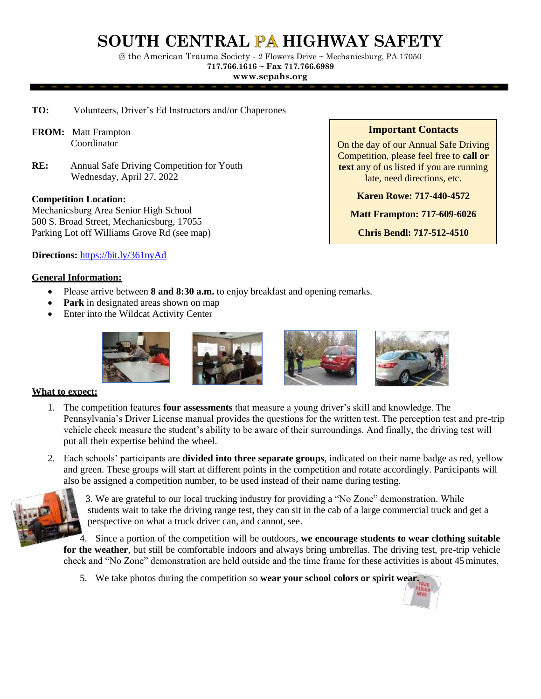# **SOUTH CENTRAL HIGHWAY SAFETY**

@ the American Trauma Society - 2 Flowers Drive ~ Mechanicsburg, PA 17050 **717.766.1616 ~ Fax 717.766.6989**

**[www.scpahs.org](http://www.scpahs.org/)**

- **TO:** Volunteers, Driver's Ed Instructors and/or Chaperones
- **FROM:** Matt Frampton Coordinator
- **RE:** Annual Safe Driving Competition for Youth Wednesday, April 27, 2022

## **Competition Location:**

Mechanicsburg Area Senior High School 500 S. Broad Street, Mechanicsburg, 17055 Parking Lot off Williams Grove Rd (see map) **Important Contacts**

On the day of our Annual Safe Driving Competition, please feel free to **call or text** any of us listed if you are running late, need directions, etc.

**Karen Rowe: 717-440-4572**

**Matt Frampton: 717-609-6026**

**Chris Bendl: 717-512-4510**

**Directions:** <https://bit.ly/361nyAd>

## **General Information:**

- Please arrive between **8 and 8:30 a.m.** to enjoy breakfast and opening remarks.
- **Park** in designated areas shown on map
- Enter into the Wildcat Activity Center



### **What to expect:**

- 1. The competition features **four assessments** that measure a young driver's skill and knowledge. The Pennsylvania's Driver License manual provides the questions for the written test. The perception test and pre-trip vehicle check measure the student's ability to be aware of their surroundings. And finally, the driving test will put all their expertise behind the wheel.
- 2. Each schools' participants are **divided into three separate groups**, indicated on their name badge as red, yellow and green. These groups will start at different points in the competition and rotate accordingly. Participants will also be assigned a competition number, to be used instead of their name during testing.



3. We are grateful to our local trucking industry for providing a "No Zone" demonstration. While students wait to take the driving range test, they can sit in the cab of a large commercial truck and get a perspective on what a truck driver can, and cannot, see.

4. Since a portion of the competition will be outdoors, **we encourage students to wear clothing suitable for the weather**, but still be comfortable indoors and always bring umbrellas. The driving test, pre-trip vehicle check and "No Zone" demonstration are held outside and the time frame for these activities is about 45minutes.

5. We take photos during the competition so **wear your school colors or spirit wear.**